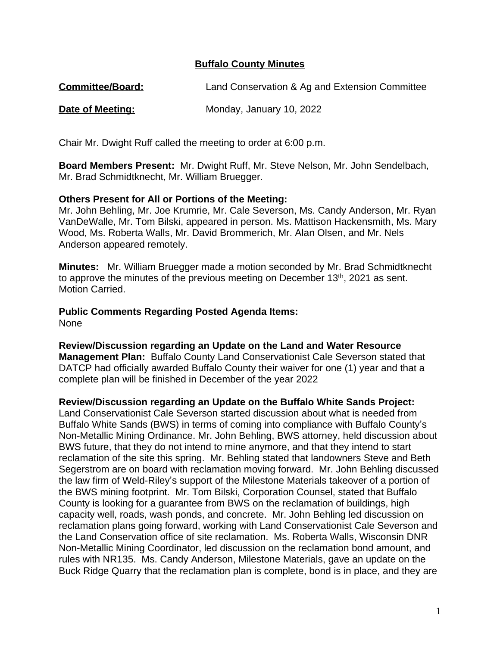## **Buffalo County Minutes**

| <b>Committee/Board:</b> | Land Conservation & Ag and Extension Committee |
|-------------------------|------------------------------------------------|
|-------------------------|------------------------------------------------|

**Date of Meeting:** Monday, January 10, 2022

Chair Mr. Dwight Ruff called the meeting to order at 6:00 p.m.

**Board Members Present:** Mr. Dwight Ruff, Mr. Steve Nelson, Mr. John Sendelbach, Mr. Brad Schmidtknecht, Mr. William Bruegger.

#### **Others Present for All or Portions of the Meeting:**

Mr. John Behling, Mr. Joe Krumrie, Mr. Cale Severson, Ms. Candy Anderson, Mr. Ryan VanDeWalle, Mr. Tom Bilski, appeared in person. Ms. Mattison Hackensmith, Ms. Mary Wood, Ms. Roberta Walls, Mr. David Brommerich, Mr. Alan Olsen, and Mr. Nels Anderson appeared remotely.

**Minutes:** Mr. William Bruegger made a motion seconded by Mr. Brad Schmidtknecht to approve the minutes of the previous meeting on December 13<sup>th</sup>, 2021 as sent. Motion Carried.

**Public Comments Regarding Posted Agenda Items:** None

**Review/Discussion regarding an Update on the Land and Water Resource Management Plan:** Buffalo County Land Conservationist Cale Severson stated that DATCP had officially awarded Buffalo County their waiver for one (1) year and that a complete plan will be finished in December of the year 2022

**Review/Discussion regarding an Update on the Buffalo White Sands Project:**

Land Conservationist Cale Severson started discussion about what is needed from Buffalo White Sands (BWS) in terms of coming into compliance with Buffalo County's Non-Metallic Mining Ordinance. Mr. John Behling, BWS attorney, held discussion about BWS future, that they do not intend to mine anymore, and that they intend to start reclamation of the site this spring. Mr. Behling stated that landowners Steve and Beth Segerstrom are on board with reclamation moving forward. Mr. John Behling discussed the law firm of Weld-Riley's support of the Milestone Materials takeover of a portion of the BWS mining footprint. Mr. Tom Bilski, Corporation Counsel, stated that Buffalo County is looking for a guarantee from BWS on the reclamation of buildings, high capacity well, roads, wash ponds, and concrete. Mr. John Behling led discussion on reclamation plans going forward, working with Land Conservationist Cale Severson and the Land Conservation office of site reclamation. Ms. Roberta Walls, Wisconsin DNR Non-Metallic Mining Coordinator, led discussion on the reclamation bond amount, and rules with NR135. Ms. Candy Anderson, Milestone Materials, gave an update on the Buck Ridge Quarry that the reclamation plan is complete, bond is in place, and they are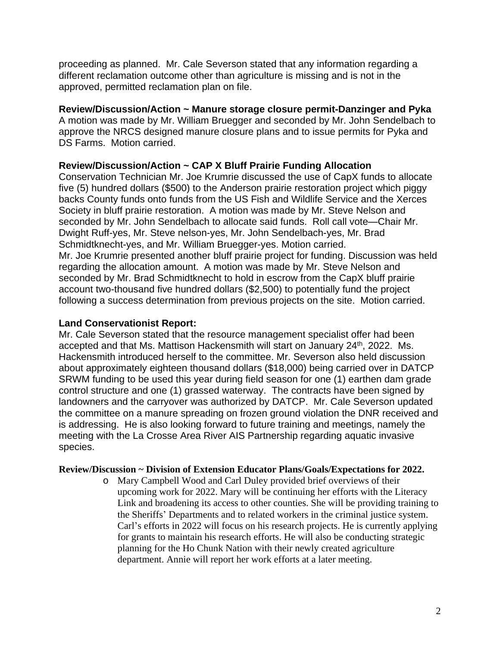proceeding as planned. Mr. Cale Severson stated that any information regarding a different reclamation outcome other than agriculture is missing and is not in the approved, permitted reclamation plan on file.

# **Review/Discussion/Action ~ Manure storage closure permit-Danzinger and Pyka**

A motion was made by Mr. William Bruegger and seconded by Mr. John Sendelbach to approve the NRCS designed manure closure plans and to issue permits for Pyka and DS Farms. Motion carried.

# **Review/Discussion/Action ~ CAP X Bluff Prairie Funding Allocation**

Conservation Technician Mr. Joe Krumrie discussed the use of CapX funds to allocate five (5) hundred dollars (\$500) to the Anderson prairie restoration project which piggy backs County funds onto funds from the US Fish and Wildlife Service and the Xerces Society in bluff prairie restoration. A motion was made by Mr. Steve Nelson and seconded by Mr. John Sendelbach to allocate said funds. Roll call vote—Chair Mr. Dwight Ruff-yes, Mr. Steve nelson-yes, Mr. John Sendelbach-yes, Mr. Brad Schmidtknecht-yes, and Mr. William Bruegger-yes. Motion carried. Mr. Joe Krumrie presented another bluff prairie project for funding. Discussion was held regarding the allocation amount. A motion was made by Mr. Steve Nelson and seconded by Mr. Brad Schmidtknecht to hold in escrow from the CapX bluff prairie account two-thousand five hundred dollars (\$2,500) to potentially fund the project following a success determination from previous projects on the site. Motion carried.

## **Land Conservationist Report:**

Mr. Cale Severson stated that the resource management specialist offer had been accepted and that Ms. Mattison Hackensmith will start on January 24<sup>th</sup>, 2022. Ms. Hackensmith introduced herself to the committee. Mr. Severson also held discussion about approximately eighteen thousand dollars (\$18,000) being carried over in DATCP SRWM funding to be used this year during field season for one (1) earthen dam grade control structure and one (1) grassed waterway. The contracts have been signed by landowners and the carryover was authorized by DATCP. Mr. Cale Severson updated the committee on a manure spreading on frozen ground violation the DNR received and is addressing. He is also looking forward to future training and meetings, namely the meeting with the La Crosse Area River AIS Partnership regarding aquatic invasive species.

#### **Review/Discussion ~ Division of Extension Educator Plans/Goals/Expectations for 2022.**

o Mary Campbell Wood and Carl Duley provided brief overviews of their upcoming work for 2022. Mary will be continuing her efforts with the Literacy Link and broadening its access to other counties. She will be providing training to the Sheriffs' Departments and to related workers in the criminal justice system. Carl's efforts in 2022 will focus on his research projects. He is currently applying for grants to maintain his research efforts. He will also be conducting strategic planning for the Ho Chunk Nation with their newly created agriculture department. Annie will report her work efforts at a later meeting.